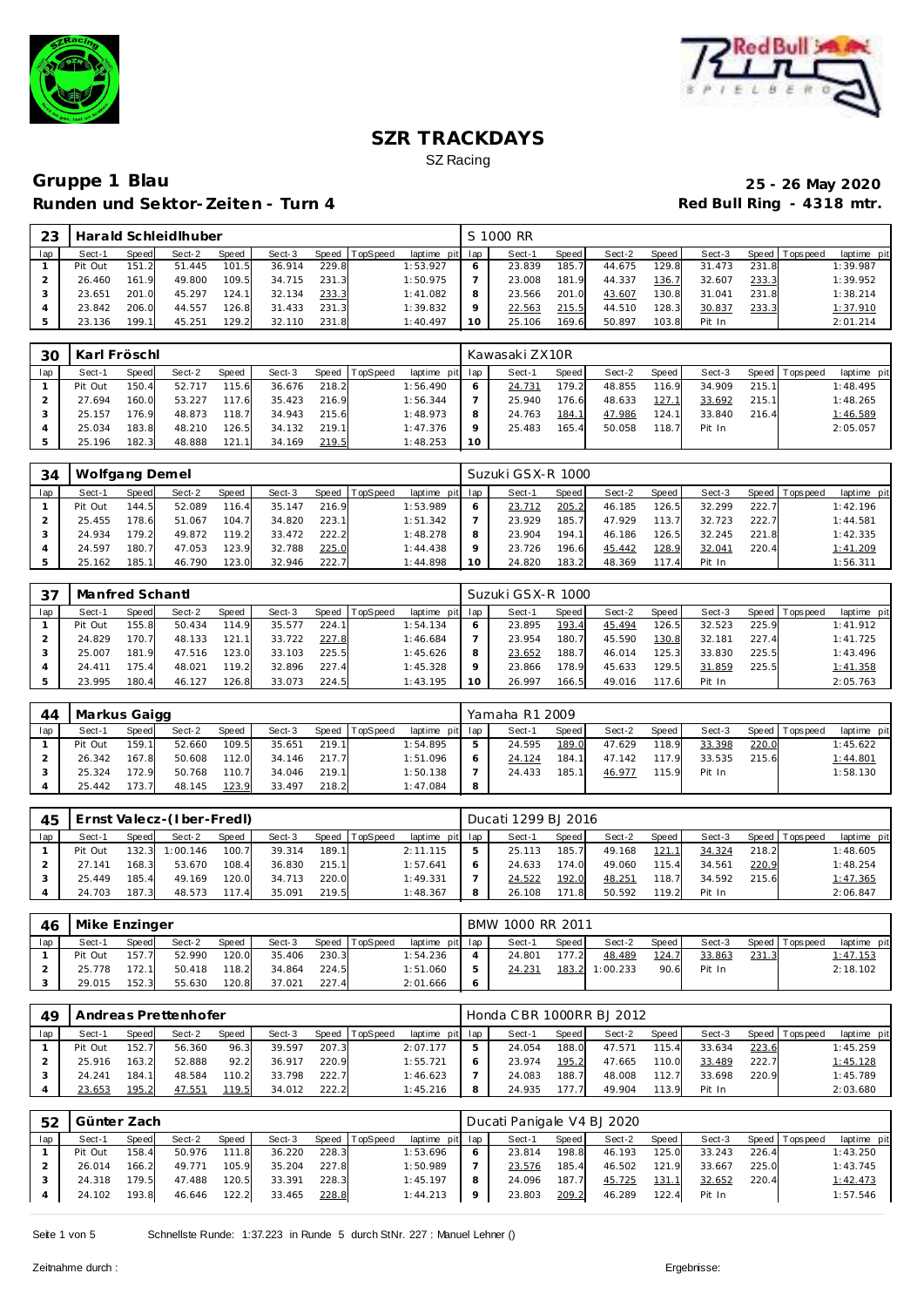



## **Gruppe 1 Blau 25 - 26 May 2020 Runden und Sektor-Zeiten - Turn 4**

| 23  |         |       | Harald Schleidlhuber |       |        |       |          |                 | S 1000 RR |       |        |         |        |       |                   |             |
|-----|---------|-------|----------------------|-------|--------|-------|----------|-----------------|-----------|-------|--------|---------|--------|-------|-------------------|-------------|
| lap | Sect-1  | Speed | Sect-2               | Speed | Sect-3 | Speed | TopSpeed | laptime pit lap | Sect-1    | Speed | Sect-2 | Speed I | Sect-3 |       | Speed   Tops peed | laptime pit |
|     | Pit Out | 151.2 | 51.445               | 101.5 | 36.914 | 229.8 |          | 1:53.927        | 23.839    | 185.7 | 44.675 | 129.8   | 31.473 | 231.8 |                   | 1:39.987    |
|     | 26.460  | 161.9 | 49.800               | 109.5 | 34.715 | 231.3 |          | 1:50.975        | 23.008    | 181.9 | 44.337 | 136.7   | 32.607 | 233.3 |                   | 1:39.952    |
|     | 23.651  | 201.0 | 45.297               | 124.1 | 32.134 | 233.3 |          | 1:41.082        | 23.566    | 201.0 | 43.607 | 130.8   | 31.041 | 231.8 |                   | 1:38.214    |
|     | 23.842  | 206.0 | 44.557               | 126.8 | 31.433 | 231.3 |          | 1:39.832        | 22.563    | 215.5 | 44.510 | 128.3   | 30.837 | 233.3 |                   | 1:37.910    |
|     | 23.136  | 199.1 | 45.251               | 129.2 | 32.110 | 231.8 |          | 1:40.497        | 25.106    | 169.6 | 50.897 | 103.8   | Pit In |       |                   | 2:01.214    |

| 30  | Karl Fröschl |       |        |              |        |       |                |                 |    | Kawasaki ZX10R |         |        |         |        |       |                 |             |
|-----|--------------|-------|--------|--------------|--------|-------|----------------|-----------------|----|----------------|---------|--------|---------|--------|-------|-----------------|-------------|
| lap | Sect-1       | Speed | Sect-2 | <b>Speed</b> | Sect-3 |       | Speed TopSpeed | laptime pit lap |    | Sect-1         | Speed I | Sect-2 | Speed I | Sect-3 |       | Speed Tops peed | laptime pit |
|     | Pit Out      | 150.4 | 52.717 | 115.6        | 36.676 | 218.2 |                | 1:56.490        | O  | 24.731         | 179.2   | 48.855 | 116.9   | 34.909 | 215.1 |                 | 1:48.495    |
|     | 27.694       | 160.0 | 53.227 | 117.6        | 35.423 | 216.9 |                | 1:56.344        |    | 25.940         | 176.6   | 48.633 | 127.1   | 33.692 | 215.1 |                 | 1:48.265    |
|     | 25.157       | 176.9 | 48.873 | 118.7        | 34.943 | 215.6 |                | 1:48.973        |    | 24.763         | 184.1   | 47.986 | 124.1   | 33.840 | 216.4 |                 | 1:46.589    |
|     | 25.034       | 183.8 | 48.210 | 126.5        | 34.132 | 219.1 |                | 1:47.376        |    | 25.483         | 165.4   | 50.058 | 118.7   | Pit In |       |                 | 2:05.057    |
|     | 25.196       | 182.3 | 48.888 | 121.1        | 34.169 | 219.5 |                | 1:48.253        | 10 |                |         |        |         |        |       |                 |             |

| 34  | Wolfgang Demel |       |        |       |        |       |                |                 |    | Suzuki GSX-R 1000 |       |        |       |        |       |                   |             |
|-----|----------------|-------|--------|-------|--------|-------|----------------|-----------------|----|-------------------|-------|--------|-------|--------|-------|-------------------|-------------|
| lap | Sect-1         | Speed | Sect-2 | Speed | Sect-3 |       | Speed TopSpeed | laptime pit lap |    | Sect-1            | Speed | Sect-2 | Speed | Sect-3 |       | Speed   Tops peed | laptime pit |
|     | Pit Out        | 144.5 | 52.089 | 116.4 | 35.147 | 216.9 |                | 1:53.989        |    | 23.712            | 205.2 | 46.185 | 126.5 | 32.299 | 222.7 |                   | 1:42.196    |
|     | 25.455         | 178.6 | 51.067 | 104.7 | 34.820 | 223.1 |                | 1:51.342        |    | 23.929            | 185.7 | 47.929 | 113.7 | 32.723 | 222.7 |                   | 1:44.581    |
|     | 24.934         | 179.2 | 49.872 | 119.2 | 33.472 | 222.2 |                | 1:48.278        |    | 23.904            | 194.1 | 46.186 | 126.5 | 32.245 | 221.8 |                   | 1:42.335    |
|     | 24.597         | 180.7 | 47.053 | 123.9 | 32.788 | 225.0 |                | 1:44.438        |    | 23.726            | 196.6 | 45.442 | 128.9 | 32.041 | 220.4 |                   | 1:41.209    |
|     | 25.162         | 185.1 | 46.790 | 123.0 | 32.946 | 222.7 |                | 1:44.898        | 10 | 24.820            | 183.2 | 48.369 | 117.4 | Pit In |       |                   | 1:56.311    |

| 37  | Manfred Schantl |              |        |       |        |       |                |                 |    | Suzuki GSX-R 1000 |       |        |       |        |       |                |             |
|-----|-----------------|--------------|--------|-------|--------|-------|----------------|-----------------|----|-------------------|-------|--------|-------|--------|-------|----------------|-------------|
| lap | Sect-1          | <b>Speed</b> | Sect-2 | Speed | Sect-3 |       | Speed TopSpeed | laptime pit lap |    | Sect-1            | Speed | Sect-2 | Speed | Sect-3 |       | Speed Topspeed | laptime pit |
|     | Pit Out         | 155.8        | 50.434 | 114.9 | 35.577 | 224.1 |                | 1:54.134        |    | 23.895            | 193.4 | 45.494 | 126.5 | 32.523 | 225.9 |                | 1:41.912    |
|     | 24.829          | 170.7        | 48.133 | 121.1 | 33.722 | 227.8 |                | 1:46.684        |    | 23.954            | 180.7 | 45.590 | 130.8 | 32.181 | 227.4 |                | 1:41.725    |
|     | 25.007          | 181.9        | 47.516 | 123.0 | 33.103 | 225.5 |                | 1:45.626        |    | 23.652            | 188.7 | 46.014 | 125.3 | 33.830 | 225.5 |                | 1:43.496    |
|     | 24.411          | 175.4        | 48.021 | 119.2 | 32.896 | 227.4 |                | 1:45.328        |    | 23.866            | 178.9 | 45.633 | 129.5 | 31.859 | 225.5 |                | 1:41.358    |
|     | 23.995          | 180.4        | 46.127 | 126.8 | 33.073 | 224.5 |                | 1:43.195        | 10 | 26.997            | 166.5 | 49.016 | 117.6 | Pit In |       |                | 2:05.763    |

| 44  | Markus Gaigg |       |        |              |        |       |                |             |     | Yamaha R1 2009 |       |        |       |        |       |                |             |
|-----|--------------|-------|--------|--------------|--------|-------|----------------|-------------|-----|----------------|-------|--------|-------|--------|-------|----------------|-------------|
| lap | Sect-′       | Speed | Sect-2 | <b>Speed</b> | Sect-3 |       | Speed TopSpeed | laptime pit | lap | Sect-1         | Speed | Sect-2 | Speed | Sect-3 |       | Speed Topspeed | laptime pit |
|     | Pit Out      | 159.1 | 52.660 | 109.5        | 35.651 | 219.1 |                | 1:54.895    | ь   | 24.595         | 189.0 | 47.629 | 118.9 | 33.398 | 220.0 |                | 1:45.622    |
|     | 26.342       | 167.8 | 50.608 | 112.0        | 34.146 | 217.7 |                | 1:51.096    | O   | 24.124         | 184.1 | 47.142 | 117.9 | 33.535 | 215.6 |                | 1:44.801    |
|     | 25.324       | 172.9 | 50.768 | 110.7        | 34.046 | 219.1 |                | 1:50.138    |     | 24.433         | 185.1 | 46.977 | 115.9 | Pit In |       |                | 1:58.130    |
|     | 25.442       | 73.7  | 48.145 | 123.9        | 33.497 | 218.2 |                | 1:47.084    | 8   |                |       |        |       |        |       |                |             |

| 45  |         |       | Ernst Valecz-(Iber-FredI) |       |        |       |          |                 | Ducati 1299 BJ 2016 |       |        |       |        |       |                 |             |
|-----|---------|-------|---------------------------|-------|--------|-------|----------|-----------------|---------------------|-------|--------|-------|--------|-------|-----------------|-------------|
| lap | Sect-1  | Speed | Sect-2                    | Speed | Sect-3 | Speed | TopSpeed | laptime pit lap | Sect-1              | Speed | Sect-2 | Speed | Sect-3 |       | Speed Tops peed | laptime pit |
|     | Pit Out | 132.3 | 1:00.146                  | 100.7 | 39.314 | 189.1 |          | 2:11.115        | 25.113              | 185.7 | 49.168 | 121.1 | 34.324 | 218.2 |                 | 1:48.605    |
|     | 27.141  | 168.3 | 53.670                    | 108.4 | 36.830 | 215.1 |          | 1:57.641        | 24.633              | 174.0 | 49.060 | 115.4 | 34.561 | 220.9 |                 | 1:48.254    |
|     | 25.449  | 185.4 | 49.169                    | 120.0 | 34.713 | 220.0 |          | 1:49.331        | 24.522              | 192.0 | 48.251 | '18.7 | 34.592 | 215.6 |                 | 1:47.365    |
|     | 24.703  | 187.3 | 48.573                    | 117.4 | 35.091 | 219.5 |          | 1:48.367        | 26.108              | 171.8 | 50.592 | 119.2 | Pit In |       |                 | 2:06.847    |

| 46  | Mike Enzinger |              |        |       |        |       |          |                 |   | BMW 1000 RR 2011 |        |          |       |        |       |                  |             |
|-----|---------------|--------------|--------|-------|--------|-------|----------|-----------------|---|------------------|--------|----------|-------|--------|-------|------------------|-------------|
| lap | Sect-1        | <b>Speed</b> | Sect-2 | Speed | Sect-3 | Speed | TopSpeed | laptime pit lap |   | Sect-1           | Speed  | Sect-2   | Speed | Sect-3 |       | Speed   Topspeed | laptime pit |
|     | Pit Out       | 157.7        | 52.990 | 120.0 | 35.406 | 230.3 |          | 1:54.236        |   | 24.801           | 177.21 | 48.489   | 124.7 | 33.863 | 231.3 |                  | 1:47.153    |
|     | 25.778        | 172.1        | 50.418 | 118.2 | 34.864 | 224.5 |          | 1:51.060        | 5 | 24.231           | 183.2  | 1:00.233 | 90.6  | Pit In |       |                  | 2:18.102    |
|     | 29.015        | 152.3        | 55.630 | 120.8 | 37.021 | 227.4 |          | 2:01.666        | Ô |                  |        |          |       |        |       |                  |             |

| 49  |         |       | Andreas Prettenhofer |       |        |       |                |             |     | Honda CBR 1000RR BJ 2012 |       |        |        |        |       |                |                 |
|-----|---------|-------|----------------------|-------|--------|-------|----------------|-------------|-----|--------------------------|-------|--------|--------|--------|-------|----------------|-----------------|
| lap | Sect-'  | Speed | Sect-2               | Speed | Sect-3 |       | Speed TopSpeed | laptime pit | lap | Sect-1                   | Speed | Sect-2 | Speed  | Sect-3 |       | Speed Topspeed | laptime pit     |
|     | Pit Out | 152.7 | 56.360               | 96.3  | 39.597 | 207.3 |                | 2:07.177    |     | 24.054                   | 188.0 | 47.571 | 115.4  | 33.634 | 223.6 |                | 1:45.259        |
|     | 25.916  | 163.2 | 52.888               | 92.2  | 36.917 | 220.9 |                | 1:55.721    |     | 23.974                   | 195.2 | 47.665 | 110.0  | 33.489 | 222.7 |                | <u>1:45.128</u> |
|     | 24.241  | 184.1 | 48.584               | 110.2 | 33.798 | 222.7 |                | 1:46.623    |     | 24.083                   | 188.7 | 48.008 | 112.7  | 33.698 | 220.9 |                | 1:45.789        |
|     | 23.653  | 195.2 | 47.551               | 119.5 | 34.012 | 222.2 |                | 1:45.216    | 8   | 24.935                   | '77.  | 49.904 | 113.91 | Pit In |       |                | 2:03.680        |

| 52  | Günter Zach |              |        |       |        |       |                |                 | Ducati Panigale V4 BJ 2020 |       |        |       |        |       |                |             |
|-----|-------------|--------------|--------|-------|--------|-------|----------------|-----------------|----------------------------|-------|--------|-------|--------|-------|----------------|-------------|
| lap | Sect-1      | <b>Speed</b> | Sect-2 | Speed | Sect-3 |       | Speed TopSpeed | laptime pit lap | Sect-1                     | Speed | Sect-2 | Speed | Sect-3 |       | Speed Topspeed | laptime pit |
|     | Pit Out     | 158.4        | 50.976 | 111.8 | 36.220 | 228.3 |                | 1:53.696        | 23.814                     | 198.8 | 46.193 | 125.0 | 33.243 | 226.4 |                | 1:43.250    |
|     | 26.014      | 166.2        | 49.771 | 105.9 | 35.204 | 227.8 |                | 1:50.989        | 23.576                     | 185.4 | 46.502 | 121.9 | 33.667 | 225.0 |                | 1:43.745    |
|     | 24.318      | 179.5        | 47.488 | 120.5 | 33.391 | 228.3 |                | 1:45.197        | 24.096                     | 187.7 | 45.725 | 131.1 | 32.652 | 220.4 |                | 1:42.473    |
|     | 24.102      | 193.8        | 46.646 | 122.2 | 33.465 | 228.8 |                | 1:44.213        | 23.803                     | 209.2 | 46.289 | 122.4 | Pit In |       |                | 1:57.546    |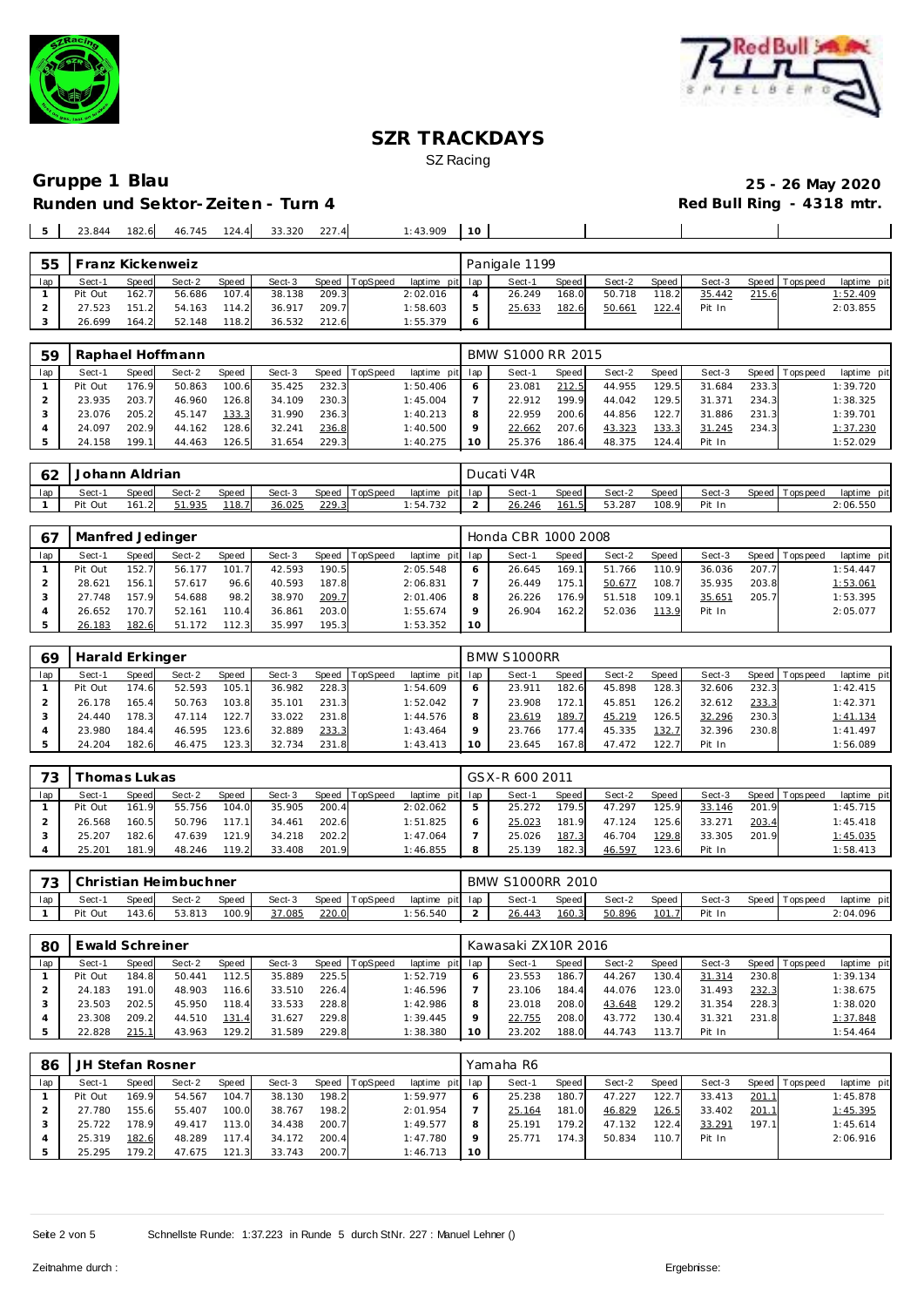



## **Gruppe 1 Blau 25 - 26 May 2020 Runden und Sektor-Zeiten - Turn 4**

 $\overline{\phantom{a}}$ 

 $\mathbf{I}$ 

## 23.844 182.6 46.745 124.4 33.320 227.4 1:43.909 **10**

|     |         | ranz Kickenweiz |        |       |        |       |                |                 |   | Panigale 1199 |       |        |         |        |       |                |             |
|-----|---------|-----------------|--------|-------|--------|-------|----------------|-----------------|---|---------------|-------|--------|---------|--------|-------|----------------|-------------|
| lap | Sect-1  | Speed           | Sect-2 | Speed | Sect-3 |       | Speed TopSpeed | laptime pit lap |   | Sect-1        | Speed | Sect-2 | Speed I | Sect-3 |       | Speed Topspeed | laptime pit |
|     | Pit Out | 162.7           | 56.686 | 107.4 | 38.138 | 209.3 |                | 2:02.016        |   | 26.249        | 168.0 | 50.718 | 118.2   | 35.442 | 215.6 |                | 1:52.409    |
|     | 27.523  | 151.2           | 54.163 | 114.2 | 36.917 | 209.7 |                | 1:58.603        |   | 25.633        | 182.6 | 50.661 | 122.4   | Pit In |       |                | 2:03.855    |
|     | 26.699  | 164.2           | 52.148 | 118.2 | 36.532 | 212.6 |                | 1:55.379        | O |               |       |        |         |        |       |                |             |

| 59  |         |       | Raphael Hoffmann |              |        |       |          |             |     | BMW S1000 RR 2015 |              |        |       |        |       |                 |             |
|-----|---------|-------|------------------|--------------|--------|-------|----------|-------------|-----|-------------------|--------------|--------|-------|--------|-------|-----------------|-------------|
| lap | Sect-1  | Speed | Sect-2           | <b>Speed</b> | Sect-3 | Speed | TopSpeed | laptime pit | lap | Sect-1            | <b>Speed</b> | Sect-2 | Speed | Sect-3 |       | Speed Tops peed | laptime pit |
|     | Pit Out | 176.9 | 50.863           | 100.6        | 35.425 | 232.3 |          | 1:50.406    | 6   | 23.081            | 212.5        | 44.955 | 129.5 | 31.684 | 233.3 |                 | 1:39.720    |
|     | 23.935  | 203.7 | 46.960           | 126.8        | 34.109 | 230.3 |          | 1:45.004    |     | 22.912            | 199.9        | 44.042 | 129.5 | 31.371 | 234.3 |                 | 1:38.325    |
|     | 23.076  | 205.2 | 45.147           | 133.3        | 31.990 | 236.3 |          | 1:40.213    | 8   | 22.959            | 200.6        | 44.856 | 122.7 | 31.886 | 231.3 |                 | 1:39.701    |
|     | 24.097  | 202.9 | 44.162           | 128.6        | 32.241 | 236.8 |          | 1:40.500    | Q   | 22.662            | 207.6        | 43.323 | 133.3 | 31.245 | 234.3 |                 | 1:37.230    |
|     | 24.158  | 199.1 | 44.463           | 126.5        | 31.654 | 229.3 |          | 1:40.275    | 10  | 25.376            | 186.4        | 48.375 | 124.4 | Pit In |       |                 | 1:52.029    |

| $\sim$<br>◡∠ | Johann Aldrian |              |        |       |        |       |          |                | Ducati | V <sub>4R</sub> |       |        |        |        |                |                |
|--------------|----------------|--------------|--------|-------|--------|-------|----------|----------------|--------|-----------------|-------|--------|--------|--------|----------------|----------------|
| lap          | Sect-          | <b>Speed</b> | Sect-2 | Speed | Sect-3 | Speed | TopSpeed | laptime<br>pit | lap    | Sect-1          | Speed | Sect-2 | Speed. | Sect-3 | Speed Topspeed | laptime<br>pit |
|              | Pit Out        | 161.2        | 51.935 | 118.7 | 36.025 | 229.3 |          | 1:54.732       |        | 26.246          | 161.5 | 53.287 | 108.9  | Pit In |                | 2:06.550       |

| -67 | Manfred Jedinger |       |        |              |        |       |                  |                 |    | Honda CBR 1000 2008 |         |        |       |        |       |                 |             |
|-----|------------------|-------|--------|--------------|--------|-------|------------------|-----------------|----|---------------------|---------|--------|-------|--------|-------|-----------------|-------------|
| lap | Sect-1           | Speed | Sect-2 | <b>Speed</b> | Sect-3 |       | Speed   TopSpeed | laptime pit lap |    | Sect-1              | Speed I | Sect-2 | Speed | Sect-3 |       | Speed Tops peed | laptime pit |
|     | Pit Out          | 152.7 | 56.177 | 101.7        | 42.593 | 190.5 |                  | 2:05.548        |    | 26.645              | 169.1   | 51.766 | 110.9 | 36.036 | 207.7 |                 | 1:54.447    |
|     | 28.621           | 156.1 | 57.617 | 96.6         | 40.593 | 187.8 |                  | 2:06.831        |    | 26.449              | 175.1   | 50.677 | 108.7 | 35.935 | 203.8 |                 | 1:53.061    |
|     | 27.748           | 157.9 | 54.688 | 98.2         | 38.970 | 209.7 |                  | 2:01.406        |    | 26.226              | 176.9   | 51.518 | 109.1 | 35.651 | 205.7 |                 | 1:53.395    |
|     | 26.652           | 170.7 | 52.161 | 110.4        | 36.861 | 203.0 |                  | 1:55.674        |    | 26.904              | 162.2   | 52.036 | 113.9 | Pit In |       |                 | 2:05.077    |
|     | 26.183           | 182.6 | 51.172 | 112.3        | 35.997 | 195.3 |                  | 1:53.352        | 10 |                     |         |        |       |        |       |                 |             |

| 69  | Harald Erkinger |       |        |       |        |       |                  |                 | BMW S1000RR |       |        |       |        |       |                |             |
|-----|-----------------|-------|--------|-------|--------|-------|------------------|-----------------|-------------|-------|--------|-------|--------|-------|----------------|-------------|
| lap | Sect-1          | Speed | Sect-2 | Speed | Sect-3 |       | Speed   TopSpeed | laptime pit lap | Sect-1      | Speed | Sect-2 | Speed | Sect-3 |       | Speed Topspeed | laptime pit |
|     | Pit Out         | 174.6 | 52.593 | 105.1 | 36.982 | 228.3 |                  | 1:54.609        | 23.911      | 182.6 | 45.898 | 128.3 | 32.606 | 232.3 |                | 1:42.415    |
|     | 26.178          | 165.4 | 50.763 | 103.8 | 35.101 | 231.3 |                  | 1:52.042        | 23.908      | 172.1 | 45.851 | 126.2 | 32.612 | 233.3 |                | 1:42.371    |
|     | 24.440          | 178.3 | 47.114 | 122.7 | 33.022 | 231.8 |                  | 1:44.576        | 23.619      | 189.7 | 45.219 | 126.5 | 32.296 | 230.3 |                | 1:41.134    |
|     | 23.980          | 184.4 | 46.595 | 123.6 | 32.889 | 233.3 |                  | 1:43.464        | 23.766      | 177.4 | 45.335 | 132.7 | 32.396 | 230.8 |                | 1:41.497    |
|     | 24.204          | 182.6 | 46.475 | 123.3 | 32.734 | 231.8 |                  | 1:43.413        | 23.645      | 167.8 | 47.472 | 122.7 | Pit In |       |                | 1:56.089    |

| 73  |         | 'homas Lukas |        |       |        |       |                 |             |     | GSX-R 600 2011 |         |        |       |        |       |                |             |
|-----|---------|--------------|--------|-------|--------|-------|-----------------|-------------|-----|----------------|---------|--------|-------|--------|-------|----------------|-------------|
| lap | Sect-1  | Speed        | Sect-2 | Speed | Sect-3 | Speed | <b>TopSpeed</b> | laptime pit | lap | Sect-1         | Speed I | Sect-2 | Speed | Sect-3 |       | Speed Topspeed | laptime pit |
|     | Pit Out | 161.9        | 55.756 | 104.0 | 35.905 | 200.4 |                 | 2:02.062    |     | 25.272         | 179.5   | 47.297 | 25.9  | 33.146 | 201.9 |                | 1:45.715    |
|     | 26.568  | 160.5        | 50.796 | 117.1 | 34.461 | 202.6 |                 | 1:51.825    |     | 25.023         | 181.9   | 47.124 | 25.6  | 33.271 | 203.4 |                | 1:45.418    |
|     | 25.207  | 182.6        | 47.639 | 121.9 | 34.218 | 202.2 |                 | 1:47.064    |     | 25.026         | 187.3   | 46.704 | 129.8 | 33.305 | 201.9 |                | 1:45.035    |
|     | 25.201  | 181.9        | 48.246 | 119.2 | 33.408 | 201.9 |                 | 1:46.855    |     | 25.139         | 182.3   | 46.597 | 23.6  | Pit In |       |                | 1:58.413    |

| $\overline{\phantom{a}}$ |         |       | Christian Heimbuchner |       |        |       |                |                 | <b>BMW S1000RR 2010</b> |       |        |       |        |                   |             |
|--------------------------|---------|-------|-----------------------|-------|--------|-------|----------------|-----------------|-------------------------|-------|--------|-------|--------|-------------------|-------------|
| lap                      | Sect-1  | Speed | Sect-2                | Speed | Sect-3 |       | Speed TopSpeed | laptime pit lap | Sect-1                  | Speed | Sect-2 | Speed | Sect-3 | Speed   Tops peed | laptime pit |
|                          | Pit Out | 43.6  | 53.813                | 100.9 | 37.085 | 220.0 |                | :56.540         | 26.443                  | 160.3 | 50.896 | 101.7 | Pit In |                   | 2:04.096    |

| 80  | Ewald Schreiner |       |        |              |        |       |          |             |     | Kawasaki ZX10R 2016 |         |        |         |            |       |                 |             |
|-----|-----------------|-------|--------|--------------|--------|-------|----------|-------------|-----|---------------------|---------|--------|---------|------------|-------|-----------------|-------------|
| lap | Sect-1          | Speed | Sect-2 | <b>Speed</b> | Sect-3 | Speed | TopSpeed | laptime pit | lap | Sect-1              | Speed I | Sect-2 | Speed I | Sect-3     |       | Speed Tops peed | laptime pit |
|     | Pit Out         | 184.8 | 50.441 | 112.5        | 35.889 | 225.5 |          | 1:52.719    |     | 23.553              | 186.    | 44.267 | 130.4   | 31.314     | 230.8 |                 | 1:39.134    |
|     | 24.183          | 191.0 | 48.903 | 116.6        | 33.510 | 226.4 |          | 1:46.596    |     | 23.106              | 184.4   | 44.076 | 123.0   | .493<br>31 | 232.3 |                 | 1:38.675    |
|     | 23.503          | 202.5 | 45.950 | 118.4        | 33.533 | 228.8 |          | 1:42.986    |     | 23.018              | 208.0   | 43.648 | 129.2   | 31.354     | 228.3 |                 | 1:38.020    |
|     | 23.308          | 209.2 | 44.510 | 131.4        | 31.627 | 229.8 |          | 1:39.445    |     | 22.755              | 208.0   | 43.772 | 130.4   | 31.321     | 231.8 |                 | 1:37.848    |
|     | 22.828          | 215.1 | 43.963 | 129.2        | 31.589 | 229.8 |          | 1:38.380    | 10  | 23.202              | 188.0   | 44.743 | 113.7   | Pit In     |       |                 | 1:54.464    |

| 86  | JH Stefan Rosner |       |        |       |        |       |                |             |         | Yamaha R6 |       |        |       |        |       |                 |             |
|-----|------------------|-------|--------|-------|--------|-------|----------------|-------------|---------|-----------|-------|--------|-------|--------|-------|-----------------|-------------|
| lap | Sect-1           | Speed | Sect-2 | Speed | Sect-3 |       | Speed TopSpeed | laptime pit | lap     | Sect-1    | Speed | Sect-2 | Speed | Sect-3 |       | Speed Tops peed | laptime pit |
|     | Pit Out          | 169.9 | 54.567 | 104.7 | 38.130 | 198.2 |                | 1:59.977    | 6       | 25.238    | 180.7 | 47.227 | 122.7 | 33.413 | 201.1 |                 | 1:45.878    |
|     | 27.780           | 155.6 | 55.407 | 100.0 | 38.767 | 198.2 |                | 2:01.954    |         | 25.164    | 181.0 | 46.829 | 126.5 | 33.402 | 201.1 |                 | 1:45.395    |
|     | 25.722           | 178.9 | 49.417 | 113.0 | 34.438 | 200.7 |                | 1:49.577    | 8       | 25.191    | 179.2 | 47.132 | 122.4 | 33.291 | 197.1 |                 | 1:45.614    |
|     | 25.319           | 182.6 | 48.289 | 117.4 | 34.172 | 200.4 |                | 1:47.780    | $\circ$ | 25.771    | 174.3 | 50.834 | 110.7 | Pit In |       |                 | 2:06.916    |
|     | 25.295           | 179.2 | 47.675 | 121.3 | 33.743 | 200.7 |                | 1:46.713    | 10      |           |       |        |       |        |       |                 |             |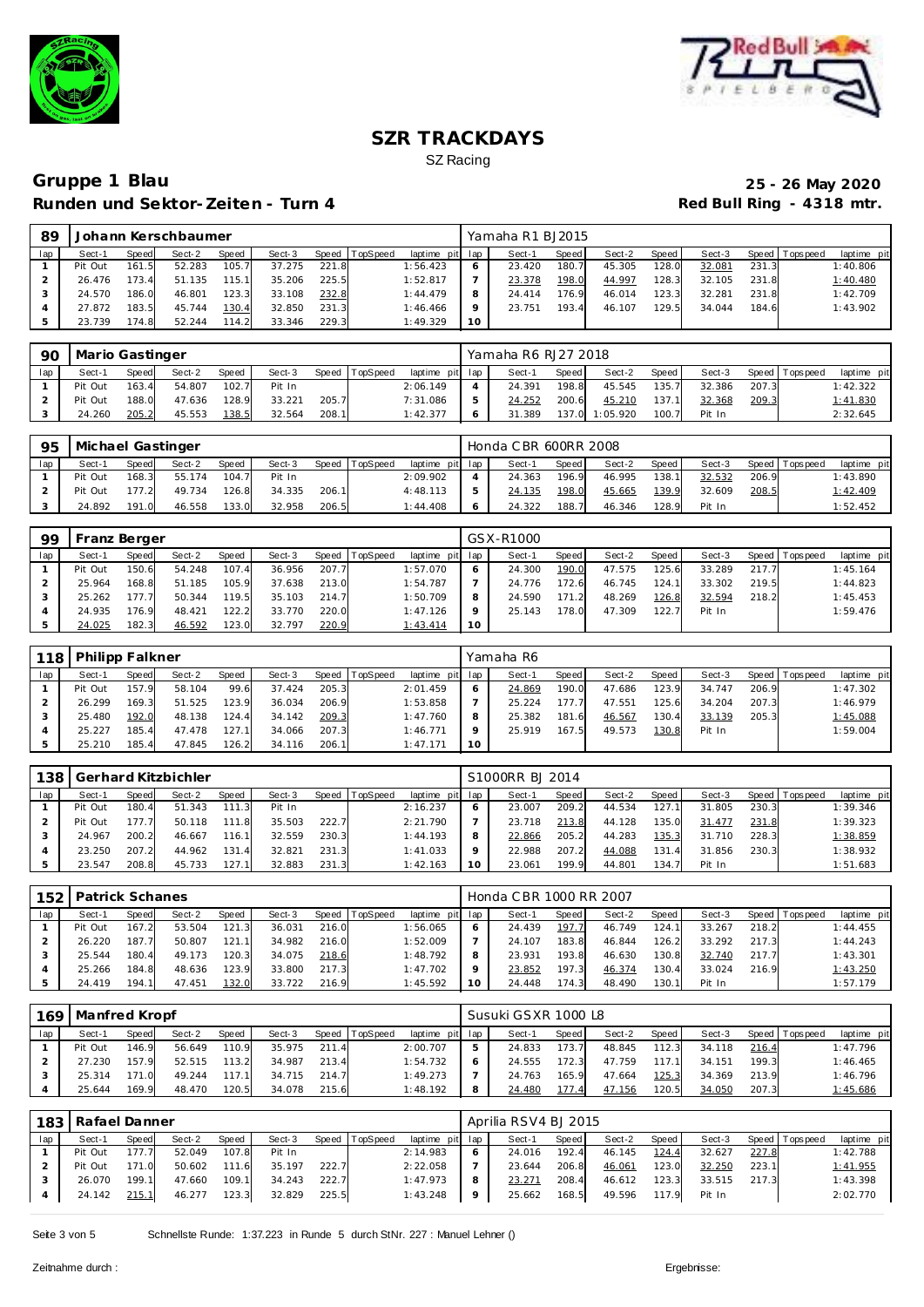



## **Gruppe 1 Blau 25 - 26 May 2020 Runden und Sektor-Zeiten - Turn 4**

| 89  |         |       | Johann Kerschbaumer |              |        |       |          |                 |         | Yamaha R1 BJ2015 |       |        |       |        |       |                |             |
|-----|---------|-------|---------------------|--------------|--------|-------|----------|-----------------|---------|------------------|-------|--------|-------|--------|-------|----------------|-------------|
| lap | Sect-1  | Speed | Sect-2              | <b>Speed</b> | Sect-3 | Speed | TopSpeed | laptime pit lap |         | Sect-1           | Speed | Sect-2 | Speed | Sect-3 |       | Speed Topspeed | laptime pit |
|     | Pit Out | 161.5 | 52.283              | 105.7        | 37.275 | 221.8 |          | 1:56.423        | $\circ$ | 23.420           | 180.7 | 45.305 | 128.0 | 32.081 | 231.3 |                | 1:40.806    |
|     | 26.476  | 173.4 | 51.135              | 115.1        | 35.206 | 225.5 |          | 1:52.817        |         | 23.378           | 198.0 | 44.997 | 128.3 | 32.105 | 231.8 |                | 1:40.480    |
|     | 24.570  | 186.0 | 46.801              | 123.3        | 33.108 | 232.8 |          | 1:44.479        | 8       | 24.414           | 176.9 | 46.014 | 123.3 | 32.281 | 231.8 |                | 1:42.709    |
|     | 27.872  | 183.5 | 45.744              | 130.4        | 32.850 | 231.3 |          | 1:46.466        | $\circ$ | 23.751           | 193.4 | 46.107 | 129.5 | 34.044 | 184.6 |                | 1:43.902    |
|     | 23.739  | 174.8 | 52.244              | 114.2        | 33.346 | 229.3 |          | 1:49.329        | 10      |                  |       |        |       |        |       |                |             |

| 90  | Mario Gastinger |       |        |       |        |       |                |                 | Yamaha R6 RJ27 2018 |       |          |        |        |       |                   |             |
|-----|-----------------|-------|--------|-------|--------|-------|----------------|-----------------|---------------------|-------|----------|--------|--------|-------|-------------------|-------------|
| lap | Sect-1          | Speed | Sect-2 | Speed | Sect-3 |       | Speed TopSpeed | laptime pit lap | Sect-1              | Speed | Sect-2   | Speed  | Sect-3 |       | Speed   Tops peed | laptime pit |
|     | Pit Out         | 163.4 | 54.807 | 102.7 | Pit In |       |                | 2:06.149        | 24.391              | 198.8 | 45.545   | '35.7' | 32.386 | 207.3 |                   | 1:42.322    |
|     | Pit Out         | 188.0 | 47.636 | 128.9 | 33.221 | 205.7 |                | 7:31.086        | 24.252              | 200.6 | 45.210   | 137.11 | 32.368 | 209.3 |                   | 1:41.830    |
|     | 24.260          | 205.2 | 45.553 | 138.5 | 32.564 | 208.1 |                | 1:42.377        | 31.389              | 137.0 | 1:05.920 | 100.7  | Pit In |       |                   | 2:32.645    |

| 95  | Michael Gastinger |              |        |              |        |       |          |                 | Honda C BR 600RR 2008 |       |        |       |        |       |                   |             |
|-----|-------------------|--------------|--------|--------------|--------|-------|----------|-----------------|-----------------------|-------|--------|-------|--------|-------|-------------------|-------------|
| lap | Sect-1            | <b>Speed</b> | Sect-2 | <b>Speed</b> | Sect-3 | Speed | TopSpeed | laptime pit lap | Sect-1                | Speed | Sect-2 | Speed | Sect-3 |       | Speed   Tops peed | laptime pit |
|     | Pit Out           | 168.3        | 55.174 | 104.7        | Pit In |       |          | 2:09.902        | 24.363                | 196.9 | 46.995 | 138.1 | 32.532 | 206.9 |                   | 1:43.890    |
|     | Pit Out           | 177 21       | 49.734 | 126.8        | 34.335 | 206.1 |          | 4:48.113        | 24.135                | 198.0 | 45.665 | 139.9 | 32.609 | 208.5 |                   | 1:42.409    |
|     | 24.892            | 191.0        | 46.558 | 133.0        | 32.958 | 206.5 |          | 1:44.408        | 24.322                | 188.7 | 46.346 | 128.9 | Pit In |       |                   | 1:52.452    |

| 99  | Franz Berger |       |        |       |        |       |                |                 |    | GSX-R1000 |        |        |       |        |       |                 |             |
|-----|--------------|-------|--------|-------|--------|-------|----------------|-----------------|----|-----------|--------|--------|-------|--------|-------|-----------------|-------------|
| lap | Sect-1       | Speed | Sect-2 | Speed | Sect-3 |       | Speed TopSpeed | laptime pit lap |    | Sect-1    | Speed  | Sect-2 | Speed | Sect-3 |       | Speed Tops peed | laptime pit |
|     | Pit Out      | 150.6 | 54.248 | 107.4 | 36.956 | 207.7 |                | 1:57.070        |    | 24.300    | 190.0  | 47.575 | 125.6 | 33.289 | 217.7 |                 | 1:45.164    |
|     | 25.964       | 168.8 | 51.185 | 105.9 | 37.638 | 213.0 |                | 1:54.787        |    | 24.776    | 172.6  | 46.745 | 124.1 | 33.302 | 219.5 |                 | 1:44.823    |
|     | 25.262       | 177.7 | 50.344 | 119.5 | 35.103 | 214.7 |                | 1:50.709        |    | 24.590    | 171.21 | 48.269 | 126.8 | 32.594 | 218.2 |                 | 1:45.453    |
|     | 24.935       | 176.9 | 48.421 | 122.2 | 33.770 | 220.0 |                | 1:47.126        |    | 25.143    | 178.0  | 47.309 | 122.7 | Pit In |       |                 | 1:59.476    |
|     | 24.025       | 182.3 | 46.592 | 123.0 | 32.797 | 220.9 |                | 1:43.414        | 10 |           |        |        |       |        |       |                 |             |

|     | 118   Philipp Falkner |       |        |       |        |       |                  |                 |    | Yamaha R6 |       |        |       |        |       |                |             |
|-----|-----------------------|-------|--------|-------|--------|-------|------------------|-----------------|----|-----------|-------|--------|-------|--------|-------|----------------|-------------|
| lap | Sect-1                | Speed | Sect-2 | Speed | Sect-3 |       | Speed   TopSpeed | laptime pit lap |    | Sect-1    | Speed | Sect-2 | Speed | Sect-3 |       | Speed Topspeed | laptime pit |
|     | Pit Out               | 157.9 | 58.104 | 99.6  | 37.424 | 205.3 |                  | 2:01.459        |    | 24.869    | 190.0 | 47.686 | 123.9 | 34.747 | 206.9 |                | 1:47.302    |
|     | 26.299                | 169.3 | 51.525 | 123.9 | 36.034 | 206.9 |                  | 1:53.858        |    | 25.224    | 177.7 | 47.551 | 125.6 | 34.204 | 207.3 |                | 1:46.979    |
|     | 25.480                | 192.0 | 48.138 | 124.4 | 34.142 | 209.3 |                  | 1:47.760        |    | 25.382    | 181.6 | 46.567 | 130.4 | 33.139 | 205.3 |                | 1:45.088    |
|     | 25.227                | 185.4 | 47.478 | 127.1 | 34.066 | 207.3 |                  | 1:46.771        |    | 25.919    | 167.5 | 49.573 | 130.8 | Pit In |       |                | 1:59.004    |
|     | 25.210                | 185.4 | 47.845 | 126.2 | 34.116 | 206.1 |                  | 1:47.171        | 10 |           |       |        |       |        |       |                |             |

| 138 |         |       | Gerhard Kitzbichler |       |        |       |          |                 | S1000RR BJ 2014 |         |        |                       |        |       |                |             |
|-----|---------|-------|---------------------|-------|--------|-------|----------|-----------------|-----------------|---------|--------|-----------------------|--------|-------|----------------|-------------|
| lap | Sect-1  | Speed | Sect-2              | Speed | Sect-3 | Speed | TopSpeed | laptime pit lap | Sect-1          | Speed I | Sect-2 | Speed                 | Sect-3 |       | Speed Topspeed | laptime pit |
|     | Pit Out | 180.4 | 51.343              | 111.3 | Pit In |       |          | 2:16.237        | 23.007          | 209.2   | 44.534 | 127.1                 | 31.805 | 230.3 |                | 1:39.346    |
|     | Pit Out | 177.7 | 50.118              | 111.8 | 35.503 | 222.7 |          | 2:21.790        | 23.718          | 213.8   | 44.128 | 135.0                 | 31.477 | 231.8 |                | 1:39.323    |
|     | 24.967  | 200.2 | 46.667              | 116.1 | 32.559 | 230.3 |          | 1:44.193        | 22.866          | 205.2   | 44.283 | 135.3                 | 31.710 | 228.3 |                | 1:38.859    |
|     | 23.250  | 207.2 | 44.962              | 131.4 | 32.821 | 231.3 |          | 1:41.033        | 22.988          | 207.2   | 44.088 | 131<br>$\overline{A}$ | 31.856 | 230.3 |                | 1:38.932    |
|     | 23.547  | 208.8 | 45.733              | 127.1 | 32.883 | 231.3 |          | 1:42.163        | 23.061          | 199.9   | 44.801 | 134.                  | Pit In |       |                | 1:51.683    |

| 152 | Patrick Schanes |       |        |       |        |       |          |                 |    | Honda CBR 1000 RR 2007 |       |        |        |        |       |                 |             |
|-----|-----------------|-------|--------|-------|--------|-------|----------|-----------------|----|------------------------|-------|--------|--------|--------|-------|-----------------|-------------|
| lap | Sect-1          | Speed | Sect-2 | Speed | Sect-3 | Speed | TopSpeed | laptime pit lap |    | Sect-1                 | Speed | Sect-2 | Speed  | Sect-3 |       | Speed Tops peed | laptime pit |
|     | Pit Out         | 167.2 | 53.504 | 121.3 | 36.031 | 216.0 |          | 1:56.065        |    | 24.439                 | 197   | 46.749 | 124.1  | 33.267 | 218.2 |                 | 1:44.455    |
|     | 26.220          | 187.7 | 50.807 | 121.1 | 34.982 | 216.0 |          | 1:52.009        |    | 24.107                 | 183.8 | 46.844 | 126.2  | 33.292 | 217.3 |                 | 1:44.243    |
|     | 25.544          | 180.4 | 49.173 | 120.3 | 34.075 | 218.6 |          | 1:48.792        |    | 23.931                 | 193.8 | 46.630 | 130.8  | 32.740 | 217.7 |                 | 1:43.301    |
|     | 25.266          | 184.8 | 48.636 | 123.9 | 33.800 | 217.3 |          | 1:47.702        |    | 23.852                 | 197.3 | 46.374 | 130.4  | 33.024 | 216.9 |                 | 1:43.250    |
|     | 24.419          | 194.1 | 47.451 | 132.0 | 33.722 | 216.9 |          | 1:45.592        | 10 | 24.448                 | 174.3 | 48.490 | 130.11 | Pit In |       |                 | 1:57.179    |

|     | 169   Manfred Kropf |       |        |              |        |       |                |                 |   | Susuki GSXR 1000 L8 |       |        |       |        |       |                 |                 |
|-----|---------------------|-------|--------|--------------|--------|-------|----------------|-----------------|---|---------------------|-------|--------|-------|--------|-------|-----------------|-----------------|
| lap | Sect-1              | Speed | Sect-2 | <b>Speed</b> | Sect-3 |       | Speed TopSpeed | laptime pit lap |   | Sect-1              | Speed | Sect-2 | Speed | Sect-3 |       | Speed Tops peed | laptime pit     |
|     | Pit Out             | 146.9 | 56.649 | 110.9        | 35.975 | 211.4 |                | 2:00.707        | 5 | 24.833              | 173.7 | 48.845 | 112.3 | 34.118 | 216.4 |                 | 1:47.796        |
|     | 27.230              | 157.9 | 52.515 | 113.2        | 34.987 | 213.4 |                | 1:54.732        |   | 24.555              | 172.3 | 47.759 | 117.1 | 34.151 | 199.3 |                 | 1:46.465        |
|     | 25.314              | 171.0 | 49.244 | 117.1        | 34.715 | 214.7 |                | 1:49.273        |   | 24.763              | 165.9 | 47.664 | 125.3 | 34.369 | 213.9 |                 | 1:46.796        |
|     | 25.644              | 169.9 | 48.470 | 120.5        | 34.078 | 215.6 |                | 1:48.192        | 8 | 24.480              | 177   | 47.156 | 120.5 | 34.050 | 207.3 |                 | <u>1:45.686</u> |

| 183 | Rafael Danner |              |        |       |        |       |                |                 | Aprilia RSV4 BJ 2015 |       |        |       |        |       |                 |             |
|-----|---------------|--------------|--------|-------|--------|-------|----------------|-----------------|----------------------|-------|--------|-------|--------|-------|-----------------|-------------|
| lap | Sect-1        | <b>Speed</b> | Sect-2 | Speed | Sect-3 |       | Speed TopSpeed | laptime pit lap | Sect-1               | Speed | Sect-2 | Speed | Sect-3 |       | Speed Tops peed | laptime pit |
|     | Pit Out       | 177.7        | 52.049 | 107.8 | Pit In |       |                | 2:14.983        | 24.016               | 192.4 | 46.145 | 124.4 | 32.627 | 227.8 |                 | 1:42.788    |
|     | Pit Out       | 171.0        | 50.602 | 111.6 | 35.197 | 222.7 |                | 2:22.058        | 23.644               | 206.8 | 46.061 | 123.0 | 32.250 | 223.1 |                 | 1:41.955    |
|     | 26.070        | 199.1        | 47.660 | 109.1 | 34.243 | 222.7 |                | 1:47.973        | 23.271               | 208.4 | 46.612 | 123.3 | 33.515 | 217.3 |                 | 1:43.398    |
|     | 24.142        | 215.1        | 46.277 | 123.3 | 32.829 | 225.5 |                | 1:43.248        | 25.662               | 168.5 | 49.596 | 117.9 | Pit In |       |                 | 2:02.770    |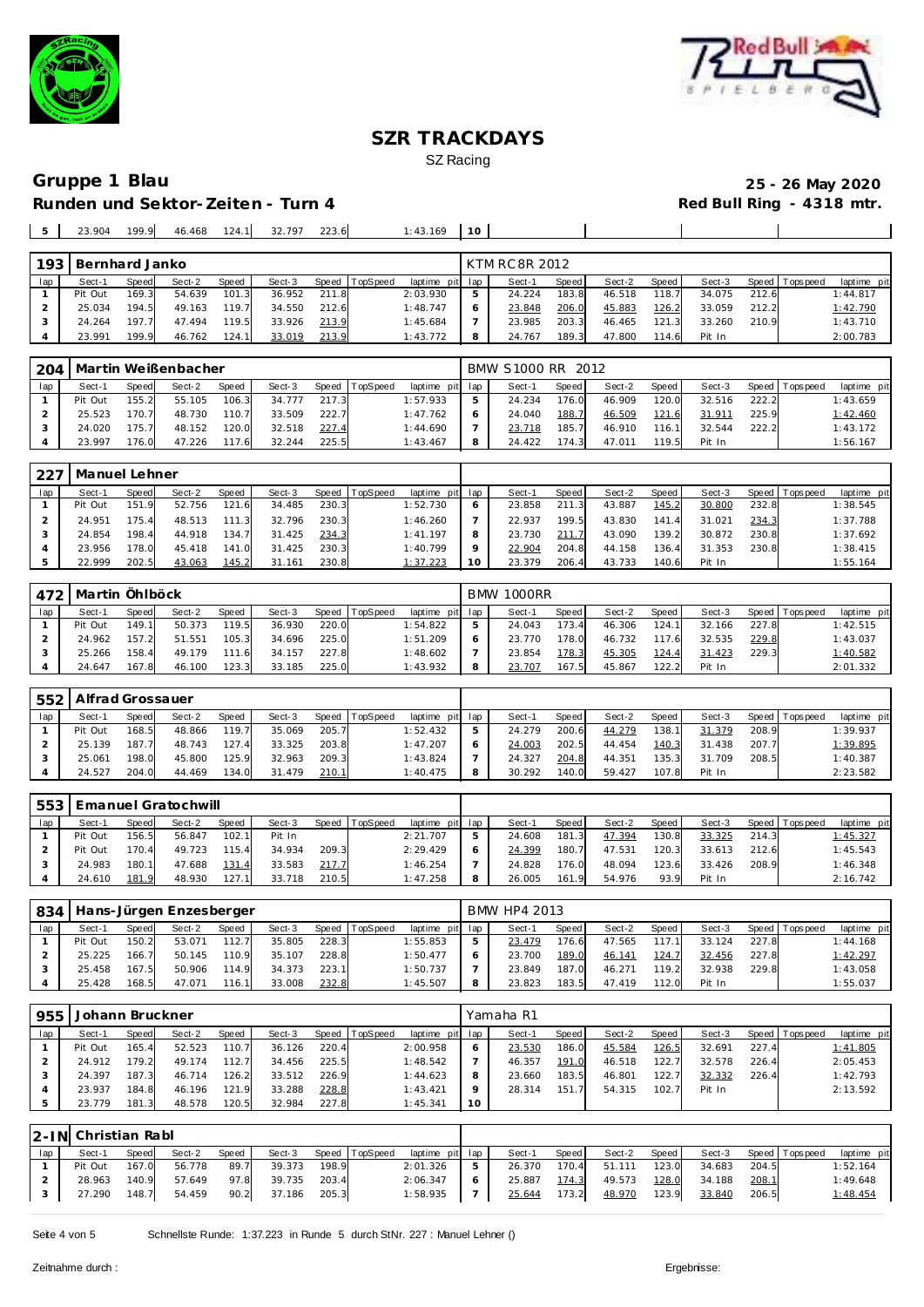



## **Runden und Sektor-Zeiten - Turn 4**

# **Gruppe 1 Blau 25 - 26 May 2020**

| $\mathbb{R}$ | 23.904 | 199.9 |  | 46.468 124.1 32.797 | 223.6 | : 43.169 |  |  |  |
|--------------|--------|-------|--|---------------------|-------|----------|--|--|--|
|              |        |       |  |                     |       |          |  |  |  |

| 193 | Bernhard Janko |              |        |       |        |       |                  |                 | KTM RC 8R 2012 |       |        |            |        |       |                 |             |
|-----|----------------|--------------|--------|-------|--------|-------|------------------|-----------------|----------------|-------|--------|------------|--------|-------|-----------------|-------------|
| lap | Sect-1         | <b>Speed</b> | Sect-2 | Speed | Sect-3 |       | Speed   TopSpeed | laptime pit lap | Sect-1         | Speed | Sect-2 | Speed      | Sect-3 |       | Speed Tops peed | laptime pit |
|     | Pit Out        | 169.3        | 54.639 | 101.3 | 36.952 | 211.8 |                  | 2:03.930        | 24.224         | 183.8 | 46.518 | 118.7      | 34.075 | 212.6 |                 | 1:44.817    |
|     | 25.034         | 194.5        | 49.163 | 119.7 | 34.550 | 212.6 |                  | 1:48.747        | 23.848         | 206.0 | 45.883 | 126.2      | 33.059 | 212.2 |                 | 1:42.790    |
|     | 24.264         | 197.7        | 47.494 | 119.5 | 33.926 | 213.9 |                  | 1:45.684        | 23.985         | 203.3 | 46.465 | 121<br>-31 | 33.260 | 210.9 |                 | 1:43.710    |
|     | 23.991         | 199.9        | 46.762 | 124.1 | 33.019 | 213.9 |                  | 1:43.772        | 24.767         | 189.3 | 47.800 | 114.6      | Pit In |       |                 | 2:00.783    |

|     | 204   Martin Weißenbacher |       |        |       |        |       |                |                 |               | BMW S1000 RR 2012 |         |        |       |        |       |                   |             |
|-----|---------------------------|-------|--------|-------|--------|-------|----------------|-----------------|---------------|-------------------|---------|--------|-------|--------|-------|-------------------|-------------|
| lap | Sect-1                    | Speed | Sect-2 | Speed | Sect-3 |       | Speed TopSpeed | laptime pit lap |               | Sect-1            | Speed I | Sect-2 | Speed | Sect-3 |       | Speed   Tops peed | laptime pit |
|     | Pit Out                   | 155.2 | 55.105 | 106.3 | 34.777 | 217.3 |                | 1:57.933        | $\mathcal{D}$ | 24.234            | 176.0   | 46.909 | 120.0 | 32.516 | 222.2 |                   | 1:43.659    |
|     | 25.523                    | 170.7 | 48.730 | 110.7 | 33.509 | 222.7 |                | 1:47.762        | 6             | 24.040            | 188.7   | 46.509 | 121.6 | 31.911 | 225.9 |                   | 1:42.460    |
|     | 24.020                    | 175.7 | 48.152 | 120.0 | 32.518 | 227.4 |                | 1:44.690        |               | 23.718            | 185.7   | 46.910 | 116.1 | 32.544 | 222.2 |                   | 1:43.172    |
|     | 23.997                    | 176.0 | 47.226 | 117.6 | 32.244 | 225.5 |                | 1:43.467        | 8             | 24.422            | 174.3   | 47.011 | 119.5 | Pit In |       |                   | 1:56.167    |

| . 227 | l Manuel Lehner |       |        |       |        |       |                |                 |    |        |         |        |       |        |       |                |             |
|-------|-----------------|-------|--------|-------|--------|-------|----------------|-----------------|----|--------|---------|--------|-------|--------|-------|----------------|-------------|
| lap   | Sect-1          | Speed | Sect-2 | Speed | Sect-3 |       | Speed TopSpeed | laptime pit lap |    | Sect-1 | Speed I | Sect-2 | Speed | Sect-3 |       | Speed Topspeed | laptime pit |
|       | Pit Out         | 151.9 | 52.756 | 121.6 | 34.485 | 230.3 |                | 1:52.730        |    | 23.858 | 211.3   | 43.887 | 145.2 | 30.800 | 232.8 |                | 1:38.545    |
|       | 24.951          | 175.4 | 48.513 | 111.3 | 32.796 | 230.3 |                | 1:46.260        |    | 22.937 | 199.5   | 43.830 | 141   | 31.021 | 234.3 |                | 1:37.788    |
|       | 24.854          | 198.4 | 44.918 | 134.7 | 31.425 | 234.3 |                | 1: 41.197       |    | 23.730 | 211.7   | 43.090 | 139.2 | 30.872 | 230.8 |                | 1:37.692    |
|       | 23.956          | 178.0 | 45.418 | 141.0 | 31.425 | 230.3 |                | 1:40.799        |    | 22.904 | 204.8   | 44.158 | 136.4 | 31.353 | 230.8 |                | 1:38.415    |
|       | 22.999          | 202.5 | 43.063 | 145.2 | 31.161 | 230.8 |                | 1:37.223        | 10 | 23.379 | 206.4   | 43.733 | 140.6 | Pit In |       |                | 1:55.164    |

|     |         | 472   Martin Öhlböck<br>TopSpeed<br>Sect-3<br><b>Speed</b><br>Sect-2<br>Speed  <br>Sect-1<br><b>Speed</b><br>119.5<br>220.0<br>149.1<br>50.373<br>36.930<br>225.0<br>157.2<br>105.3<br>51.551<br>24.962<br>34.696 |        |       |        |       |  |                 |  | <b>BMW 1000RR</b> |         |        |       |        |       |                 |             |
|-----|---------|-------------------------------------------------------------------------------------------------------------------------------------------------------------------------------------------------------------------|--------|-------|--------|-------|--|-----------------|--|-------------------|---------|--------|-------|--------|-------|-----------------|-------------|
| lap |         |                                                                                                                                                                                                                   |        |       |        |       |  | laptime pit lap |  | Sect-1            | Speed I | Sect-2 | Speed | Sect-3 |       | Speed Tops peed | laptime pit |
|     | Pit Out |                                                                                                                                                                                                                   |        |       |        |       |  | 1:54.822        |  | 24.043            | 173.4   | 46.306 | 124.1 | 32.166 | 227.8 |                 | 1:42.515    |
|     |         |                                                                                                                                                                                                                   |        |       |        |       |  | 1:51.209        |  | 23.770            | 178.0   | 46.732 | 117.6 | 32.535 | 229.8 |                 | 1:43.037    |
|     | 25.266  | 158.4                                                                                                                                                                                                             | 49.179 | 111.6 | 34.157 | 227.8 |  | 1:48.602        |  | 23.854            | 178.3   | 45.305 | 124.4 | 31.423 | 229.3 |                 | 1:40.582    |
|     | 24.647  | 167.8                                                                                                                                                                                                             | 46.100 | 123.3 | 33.185 | 225.0 |  | 1:43.932        |  | 23.707            | 167.5   | 45.867 | 22.2  | Pit In |       |                 | 2:01.332    |

|     | 552   Alfrad Grossauer |       |        |              |        |       |                |                 |        |       |        |       |        |       |                 |             |
|-----|------------------------|-------|--------|--------------|--------|-------|----------------|-----------------|--------|-------|--------|-------|--------|-------|-----------------|-------------|
| lap | Sect-1                 | Speed | Sect-2 | <b>Speed</b> | Sect-3 |       | Speed TopSpeed | laptime pit lap | Sect-1 | Speed | Sect-2 | Speed | Sect-3 |       | Speed Tops peed | laptime pit |
|     | Pit Out                | 168.5 | 48.866 | 119.7        | 35.069 | 205.7 |                | 1:52.432        | 24.279 | 200.6 | 44.279 | 138.1 | 31.379 | 208.9 |                 | 1:39.937    |
|     | 25.139                 | 187.7 | 48.743 | 127.4        | 33.325 | 203.8 |                | 1:47.207        | 24.003 | 202.5 | 44.454 | 140.3 | 31.438 | 207.7 |                 | 1:39.895    |
|     | 25.061                 | 198.0 | 45.800 | 125.9        | 32.963 | 209.3 |                | 1:43.824        | 24.327 | 204.8 | 44.351 | 135.3 | 31.709 | 208.5 |                 | 1:40.387    |
|     | 24.527                 | 204.0 | 44.469 | 134.0        | 31.479 | 210.1 |                | 1:40.475        | 30.292 | 140.0 | 59.427 | 107.8 | Pit In |       |                 | 2:23.582    |

| 553 |         |       | <b>Emanuel Gratochwill</b> |       |        |       |          |                 |        |              |        |       |        |       |                 |                 |
|-----|---------|-------|----------------------------|-------|--------|-------|----------|-----------------|--------|--------------|--------|-------|--------|-------|-----------------|-----------------|
| lap | Sect-1  | Speed | Sect-2                     | Speed | Sect-3 | Speed | TopSpeed | laptime pit lap | Sect-1 | <b>Speed</b> | Sect-2 | Speed | Sect-3 |       | Speed Tops peed | laptime pit     |
|     | Pit Out | 156.5 | 56.847                     | 102.1 | Pit In |       |          | 2:21.707        | 24.608 | 181.3        | 47.394 | 130.8 | 33.325 | 214.3 |                 | <u>1:45.327</u> |
|     | Pit Out | 170.4 | 49.723                     | 115.4 | 34.934 | 209.3 |          | 2:29.429        | 24.399 | 180.7        | 47.531 | 120.3 | 33.613 | 212.6 |                 | 1:45.543        |
|     | 24.983  | 180.1 | 47.688                     | 131.4 | 33.583 | 217.7 |          | 1:46.254        | 24.828 | 176.0        | 48.094 | 123.6 | 33.426 | 208.9 |                 | 1:46.348        |
|     | 24.610  | 181.9 | 48.930                     | 127.1 | 33.718 | 210.5 |          | 1:47.258        | 26.005 | 161.         | 54.976 | 93.9  | Pit In |       |                 | 2:16.742        |

| 834 |         |              | Hans-Jürgen Enzesberger |       |        |       |          |                 |   | BMW HP4 2013 |       |        |       |        |       |                |             |
|-----|---------|--------------|-------------------------|-------|--------|-------|----------|-----------------|---|--------------|-------|--------|-------|--------|-------|----------------|-------------|
| lap | Sect-1  | <b>Speed</b> | Sect-2                  | Speed | Sect-3 | Speed | TopSpeed | laptime pit lap |   | Sect-1       | Speed | Sect-2 | Speed | Sect-3 |       | Speed Topspeed | laptime pit |
|     | Pit Out | 150.2        | 53.071                  | 112.7 | 35.805 | 228.3 |          | 1:55.853        | 5 | 23.479       | 176.6 | 47.565 | 17.1  | 33.124 | 227.8 |                | 1:44.168    |
|     | 25.225  | 166.7        | 50.145                  | 110.9 | 35.107 | 228.8 |          | 1:50.477        | 6 | 23.700       | 189.0 | 46.141 | 124.7 | 32.456 | 227.8 |                | 1:42.297    |
|     | 25.458  | 167.5        | 50.906                  | 114.9 | 34.373 | 223.1 |          | 1:50.737        |   | 23.849       | 187.0 | 46.271 | 119.2 | 32.938 | 229.8 |                | 1:43.058    |
|     | 25.428  | 168.5        | 47.071                  | 116.1 | 33.008 | 232.8 |          | 1:45.507        | 8 | 23.823       | 183.5 | 47.419 | 112.0 | Pit In |       |                | 1:55.037    |

| 955 | Johann Bruckner |       |        |       |        |       |                  |             |         | Yamaha R1 |       |        |       |        |         |             |             |
|-----|-----------------|-------|--------|-------|--------|-------|------------------|-------------|---------|-----------|-------|--------|-------|--------|---------|-------------|-------------|
| lap | Sect-1          | Speed | Sect-2 | Speed | Sect-3 |       | Speed   TopSpeed | laptime pit | lap     | Sect-1    | Speed | Sect-2 | Speed | Sect-3 | Speed I | T ops pee d | laptime pit |
|     | Pit Out         | 165.4 | 52.523 | 110.7 | 36.126 | 220.4 |                  | 2:00.958    | 6       | 23.530    | 186.0 | 45.584 | 126.5 | 32.691 | 227.4   |             | 1:41.805    |
|     | 24.912          | 179.2 | 49.174 | 112.7 | 34.456 | 225.5 |                  | 1:48.542    |         | 46.357    | 191.0 | 46.518 | 122.7 | 32.578 | 226.4   |             | 2:05.453    |
|     | 24.397          | 187.3 | 46.714 | 126.2 | 33.512 | 226.9 |                  | 1:44.623    | 8       | 23.660    | 183.5 | 46.801 | 122.7 | 32.332 | 226.4   |             | 1:42.793    |
|     | 23.937          | 184.8 | 46.196 | 121.9 | 33.288 | 228.8 |                  | 1:43.421    | $\circ$ | 28.314    | 151.7 | 54.315 | 102.7 | Pit In |         |             | 2:13.592    |
|     | 23.779          | 181.3 | 48.578 | 120.5 | 32.984 | 227.8 |                  | 1:45.341    | 10      |           |       |        |       |        |         |             |             |

|     | 12-IN Christian Rabl |       |        |       |        |       |                |                 |     |        |       |        |       |        |       |                   |             |
|-----|----------------------|-------|--------|-------|--------|-------|----------------|-----------------|-----|--------|-------|--------|-------|--------|-------|-------------------|-------------|
| lap | Sect-1               | Speed | Sect-2 | Speed | Sect-3 |       | Speed TopSpeed | laptime pit lap |     | Sect-1 | Speed | Sect-2 | Speed | Sect-3 |       | Speed   Tops peed | laptime pit |
|     | Pit Out              | 167.0 | 56.778 | 89.7  | 39.373 | 198.9 |                | 2:01.326        | - 5 | 26.370 | 170.4 | 51.111 | 123.0 | 34.683 | 204.5 |                   | 1:52.164    |
|     | 28.963               | 140.9 | 57.649 | 97.8  | 39.735 | 203.4 |                | 2:06.347        | 6   | 25.887 | 174.3 | 49.573 | 128.0 | 34.188 | 208.1 |                   | 1:49.648    |
|     | 27.290               | 148.7 | 54.459 | 90.2  | 37.186 | 205.3 |                | 1:58.935        |     | 25.644 | 173.2 | 48.970 | 123.9 | 33.840 | 206.5 |                   | 1:48.454    |